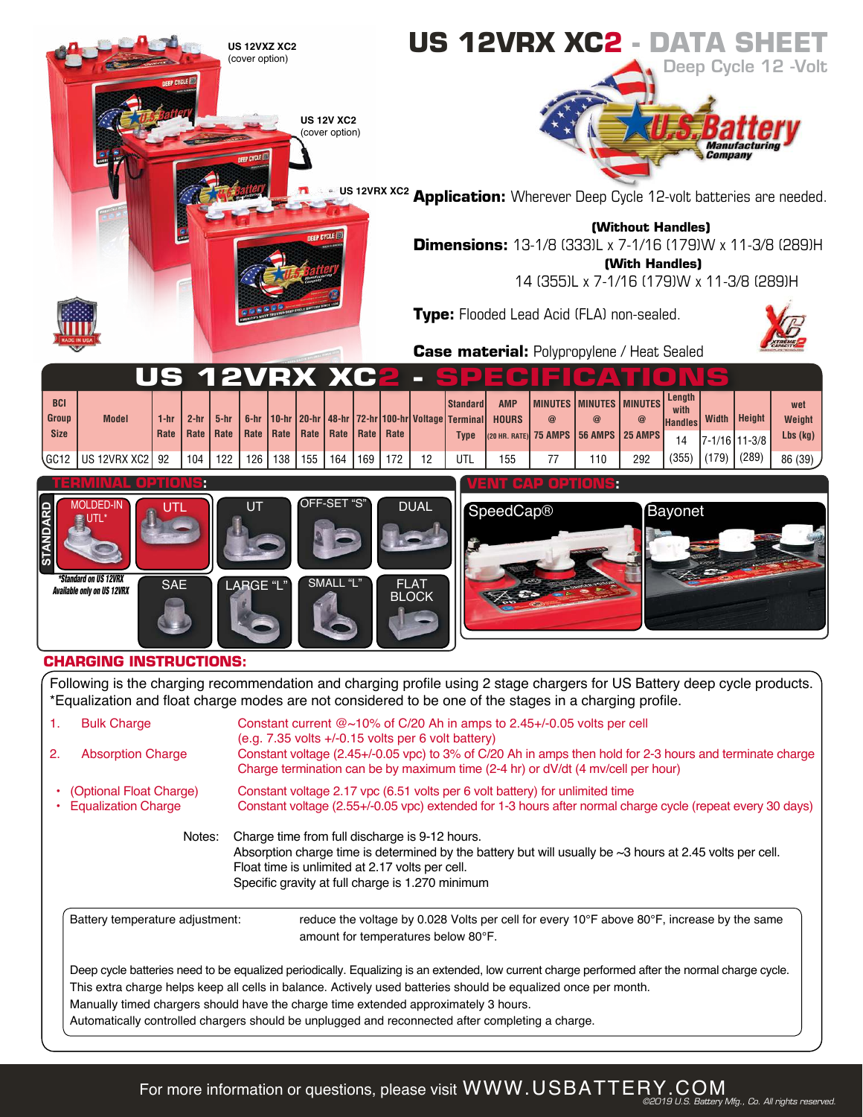

| 2. | <b>Absorption Charge</b>                                                                                                                                                                                                                                                                                                                                                                                                                                    | $(e.q. 7.35$ volts $+/-0.15$ volts per 6 volt battery)<br>Constant voltage (2.45+/-0.05 vpc) to 3% of C/20 Ah in amps then hold for 2-3 hours and terminate charge<br>Charge termination can be by maximum time (2-4 hr) or dV/dt (4 my/cell per hour) |  |  |  |
|----|-------------------------------------------------------------------------------------------------------------------------------------------------------------------------------------------------------------------------------------------------------------------------------------------------------------------------------------------------------------------------------------------------------------------------------------------------------------|--------------------------------------------------------------------------------------------------------------------------------------------------------------------------------------------------------------------------------------------------------|--|--|--|
|    | • (Optional Float Charge)<br><b>Equalization Charge</b>                                                                                                                                                                                                                                                                                                                                                                                                     | Constant voltage 2.17 ypc (6.51 volts per 6 volt battery) for unlimited time<br>Constant voltage (2.55+/-0.05 vpc) extended for 1-3 hours after normal charge cycle (repeat every 30 days)                                                             |  |  |  |
|    | Charge time from full discharge is 9-12 hours.<br>Notes:<br>Absorption charge time is determined by the battery but will usually be $\sim$ 3 hours at 2.45 volts per cell.<br>Float time is unlimited at 2.17 volts per cell.<br>Specific gravity at full charge is 1.270 minimum                                                                                                                                                                           |                                                                                                                                                                                                                                                        |  |  |  |
|    | Battery temperature adjustment:                                                                                                                                                                                                                                                                                                                                                                                                                             | reduce the voltage by 0.028 Volts per cell for every 10 $\degree$ F above 80 $\degree$ F, increase by the same<br>amount for temperatures below 80°F.                                                                                                  |  |  |  |
|    | Deep cycle batteries need to be equalized periodically. Equalizing is an extended, low current charge performed after the normal charge cycle.<br>This extra charge helps keep all cells in balance. Actively used batteries should be equalized once per month.<br>Manually timed chargers should have the charge time extended approximately 3 hours.<br>Automatically controlled chargers should be unplugged and reconnected after completing a charge. |                                                                                                                                                                                                                                                        |  |  |  |